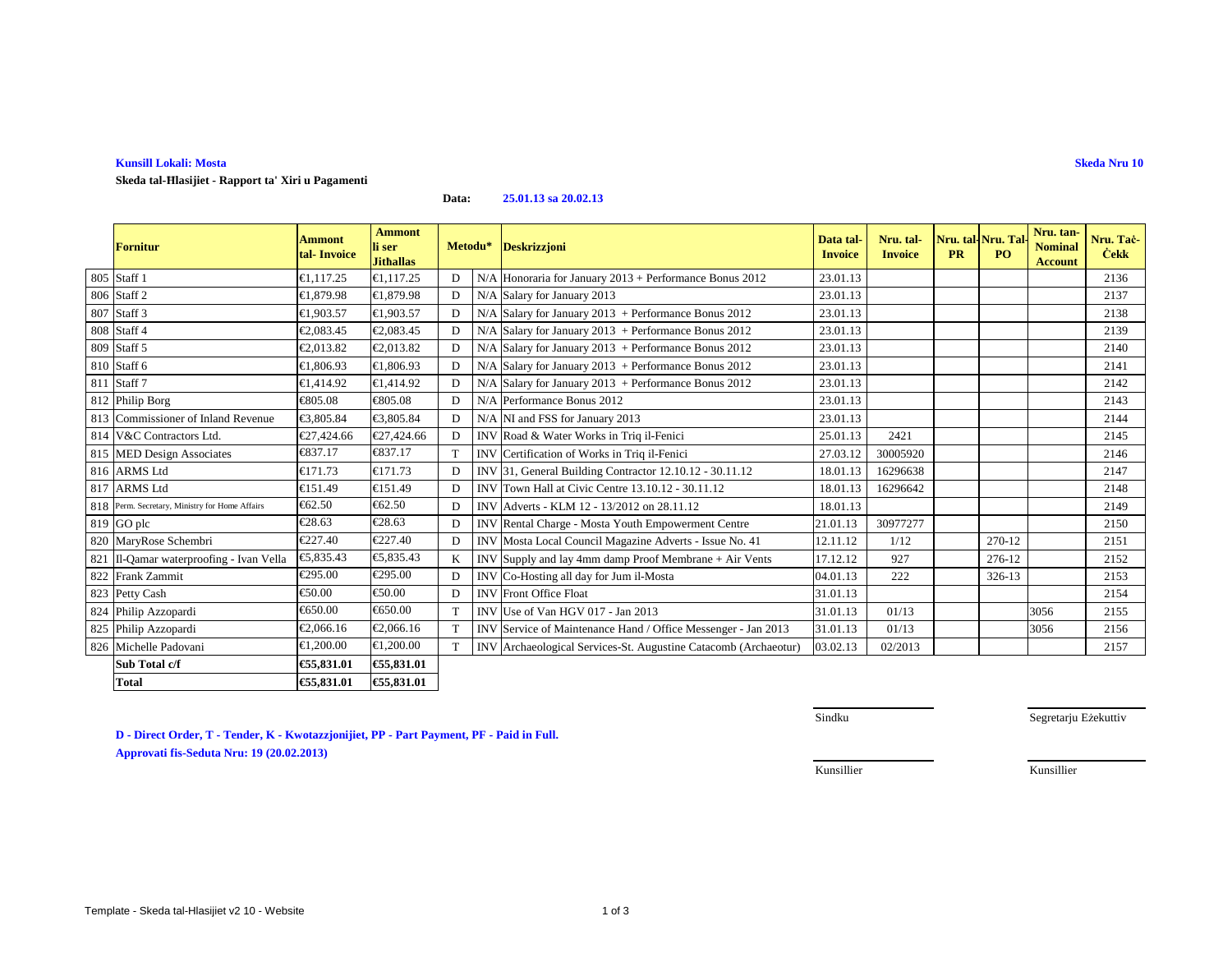**Kunsill Lokali: Mosta**

**Skeda tal-Ħlasijiet - Rapport ta' Xiri u Pagamenti**

**Data:25.01.13 sa 20.02.13**

| <b>Fornitur</b>                                | <b>Ammont</b><br>tal-Invoice | <b>Ammont</b><br>li ser<br><b>Jithallas</b> | Metodu* |            | <b>Deskrizzjoni</b>                                             | Data tal-<br><b>Invoice</b> | Nru. tal-<br><b>Invoice</b> | <b>PR</b> | Nru. tal-Nru. Tal<br><b>PO</b> | Nru. tan-<br><b>Nominal</b><br><b>Account</b> | Nru. Tac-<br><b>Cekk</b> |
|------------------------------------------------|------------------------------|---------------------------------------------|---------|------------|-----------------------------------------------------------------|-----------------------------|-----------------------------|-----------|--------------------------------|-----------------------------------------------|--------------------------|
| 805 Staff 1                                    | €1,117.25                    | €1,117.25                                   | D       | N/A        | Honoraria for Januay 2013 + Performance Bonus 2012              | 23.01.13                    |                             |           |                                |                                               | 2136                     |
| 806 Staff 2                                    | €1,879.98                    | €1,879.98                                   | D       | N/A        | Salary for January2013                                          | 23.01.13                    |                             |           |                                |                                               | 2137                     |
| 807 Staff 3                                    | €1.903.57                    | €1,903.57                                   | D       | N/A        | Salary for January $2013$ + Performance Bonus 2012              | 23.01.13                    |                             |           |                                |                                               | 2138                     |
| 808 Staff 4                                    | €2,083.45                    | €2,083.45                                   | D       | N/A        | Salary for January $2013$ + Performance Bonus 2012              | 23.01.13                    |                             |           |                                |                                               | 2139                     |
| 809 Staff 5                                    | €2,013.82                    | €2,013.82                                   | D       | N/A        | Salary for January $2013$ + Performance Bonus 2012              | 23.01.13                    |                             |           |                                |                                               | 2140                     |
| 810 Staff 6                                    | €1,806.93                    | €1,806.93                                   | D       | N/A        | Salary for January $2013$ + Performance Bonus 2012              | 23.01.13                    |                             |           |                                |                                               | 2141                     |
| 811 Staff 7                                    | €1,414.92                    | €1,414.92                                   | D       | N/A        | Salary for January $2013$ + Performance Bonus 2012              | 23.01.13                    |                             |           |                                |                                               | 2142                     |
| 812 Philip Borg                                | €805.08                      | €805.08                                     | D       | N/A        | Performance Bonus 012                                           | 23.01.13                    |                             |           |                                |                                               | 2143                     |
| 813 Commissioner of Inland Revenue             | €3,805.84                    | €3,805.84                                   | D       |            | N/A NI and FSS for January 2013                                 | 23.01.13                    |                             |           |                                |                                               | 2144                     |
| 814 V&C Contractors Ltd.                       | €27,424.66                   | €27,424.66                                  | D       |            | INV Road& Water Works in Triq il-Fenici                         | 25.01.13                    | 2421                        |           |                                |                                               | 2145                     |
| 815 MED Design Associates                      | €837.17                      | €837.17                                     | T       |            | INV Certification of Works in Triq il-Fenici                    | 27.03.12                    | 30005920                    |           |                                |                                               | 2146                     |
| 816 ARMS Ltd                                   | €171.73                      | €171.73                                     | D       |            | INV 31, General Building Contractor 12.10.12 - 30.11.12         | 18.01.13                    | 16296638                    |           |                                |                                               | 2147                     |
| 817 ARMS Ltd                                   | €151.49                      | €151.49                                     | D       | <b>INV</b> | Town Hall at Civic Cetre 13.10.12 - 30.11.12                    | 18.01.13                    | 16296642                    |           |                                |                                               | 2148                     |
| 818 Perm. Secretary, Ministry for Home Affairs | € $62.50$                    | € $62.50$                                   | D       |            | INV Adverts - KLM 12 - 13/2012 on 28.11.12                      | 18.01.13                    |                             |           |                                |                                               | 2149                     |
| 819 GO plc                                     | €28.63                       | €28.63                                      | D       |            | <b>INV</b> Rental Charge - Mosta Youth Empowerment Centre       | 21.01.13                    | 30977277                    |           |                                |                                               | 2150                     |
| 820 MaryRose Schembri                          | €227.40                      | €227.40                                     | D       |            | INV Mosta Local Council Magazine Adverts - Issue No. 41         | 12.11.12                    | 1/12                        |           | 270-12                         |                                               | 2151                     |
| 821 Il-Qamar waterproofing - Ivan Vella        | €5.835.43                    | €5.835.43                                   | K       |            | $INV$ Supply and lay 4mm damp Proof Membrane $+$ Air Vents      | 17.12.12                    | 927                         |           | 276-12                         |                                               | 2152                     |
| 822 Frank Zammit                               | €295.00                      | €295.00                                     | D       |            | INV Co-Hosting all day for Jum il-Mosta                         | 04.01.13                    | 222                         |           | 326-13                         |                                               | 2153                     |
| 823 Petty Cash                                 | €50.00                       | €50.00                                      | D       |            | <b>INV</b> Front Office Float                                   | 31.01.13                    |                             |           |                                |                                               | 2154                     |
| 824 Philip Azzopardi                           | €650.00                      | €650.00                                     |         |            | INV Use of Van HGV 017 - Jan 2013                               | 31.01.13                    | 01/13                       |           |                                | 3056                                          | 2155                     |
| 825 Philip Azzopardi                           | €2,066.16                    | €2,066.16                                   |         |            | INV Service of Maintenance Hand / Office Messenger - Jan 2013   | 31.01.13                    | 01/13                       |           |                                | 3056                                          | 2156                     |
| 826 Michelle Padovani                          | €1,200.00                    | €1,200.00                                   |         |            | INV Archaeological Services-St. Augustine Catacomb (Archaeotur) | 03.02.13                    | 02/2013                     |           |                                |                                               | 2157                     |
| Sub Total c/f                                  | €55,831.01                   | €55,831.01                                  |         |            |                                                                 |                             |                             |           |                                |                                               |                          |
| <b>Total</b>                                   | €55,831.01                   | €55,831.01                                  |         |            |                                                                 |                             |                             |           |                                |                                               |                          |

**Skeda Nru 10**

**D - Direct Order, T - Tender, K - Kwotazzjonijiet, PP - Part Payment, PF - Paid in Full. Approvati fis-Seduta Nru: 19 (20.02.2013)**

Sindku Segretarju Eżekuttiv

Kunsillier Kunsillier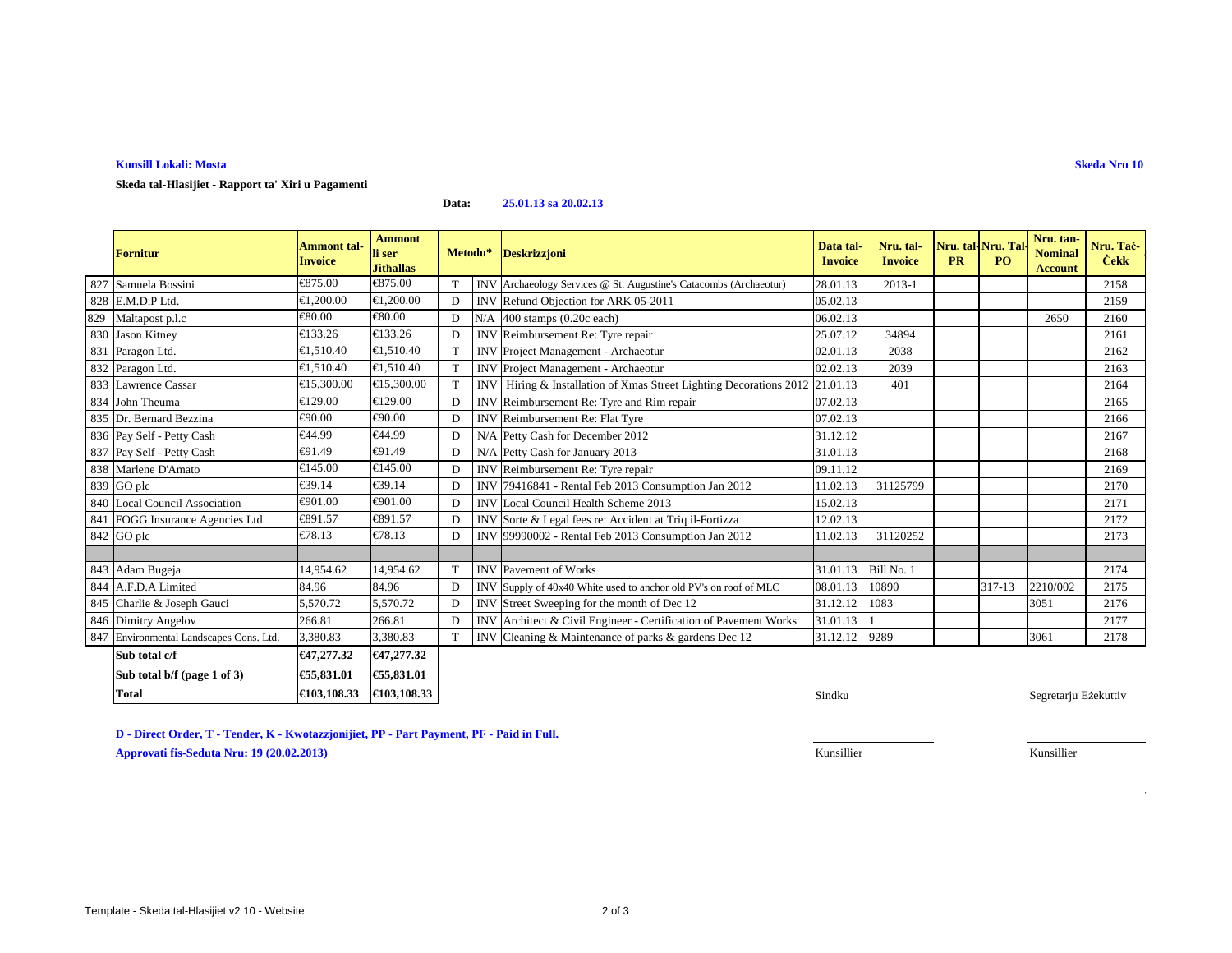**Kunsill Lokali: MostaSkeda Nru 10**

## **Skeda tal-Ħlasijiet - Rapport ta' Xiri u Pagamenti**

## **Data:25.01.13 sa 20.02.13**

|     | <b>Fornitur</b>                         | <b>Ammont tal-</b><br><b>Invoice</b> | <b>Ammont</b><br>li ser<br><b>Jithallas</b>    |   | Metodu* Deskrizzjoni                                                        | Data tal-<br><b>Invoice</b> | Nru. tal-<br><b>Invoice</b> | Nru. tal-Nru. Tal<br><b>PR</b> | PO     | Nru. tan-<br><b>Nominal</b><br><b>Account</b> | Nru. Tač-<br><b>Cekk</b> |
|-----|-----------------------------------------|--------------------------------------|------------------------------------------------|---|-----------------------------------------------------------------------------|-----------------------------|-----------------------------|--------------------------------|--------|-----------------------------------------------|--------------------------|
| 827 | Samuela Bossini                         | €875.00                              | €875.00                                        | T | INV Archaeology Services @ St. Augustine's Catacombs (Archaeotur)           | 28.01.13                    | $2013 - 1$                  |                                |        |                                               | 2158                     |
|     | 828 E.M.D.P Ltd.                        | €1,200.00                            | €1,200.00                                      | D | INV Refund Objection for ARK 05-2011                                        | 05.02.13                    |                             |                                |        |                                               | 2159                     |
| 829 | Maltapost p.l.c                         | €80.00                               | $\epsilon$ 80.00                               | D | N/A 400 stamps (0.20c each)                                                 | 06.02.13                    |                             |                                |        | 2650                                          | 2160                     |
|     | 830 Jason Kitney                        | €133.26                              | €133.26                                        | D | INV Reimbursement Re: Tyre repair                                           | 25.07.12                    | 34894                       |                                |        |                                               | 2161                     |
|     | 831 Paragon Ltd.                        | €1,510.40                            | €1.510.40                                      | T | <b>INV</b> Project Management - Archaeotur                                  | 02.01.13                    | 2038                        |                                |        |                                               | 2162                     |
|     | 832 Paragon Ltd.                        | €1,510.40                            | €1,510.40                                      | T | INV Project Management - Archaeotur                                         | 02.02.13                    | 2039                        |                                |        |                                               | 2163                     |
|     | 833 Lawrence Cassar                     | €15,300.00                           | €15,300.00                                     | T | INV Hiring & Installation of Xmas Street Lighting Decorations 2012 21.01.13 |                             | 401                         |                                |        |                                               | 2164                     |
|     | 834 John Theuma                         | €129.00                              | €129.00                                        | D | INV Reimbursement Re: Tyre and Rim repair                                   | 07.02.13                    |                             |                                |        |                                               | 2165                     |
|     | 835 Dr. Bernard Bezzina                 | €90.00                               | €90.00                                         | D | INV Reimbursement Re: Flat Tyre                                             | 07.02.13                    |                             |                                |        |                                               | 2166                     |
|     | 836 Pay Self - Petty Cash               | €44.99                               | €44.99                                         | D | N/A Petty Cash for December 2012                                            | 31.12.12                    |                             |                                |        |                                               | 2167                     |
|     | 837 Pay Self - Petty Cash               | €91.49                               | €91.49                                         | D | N/A Petty Cash for January 2013                                             | 31.01.13                    |                             |                                |        |                                               | 2168                     |
|     | 838 Marlene D'Amato                     | €145.00                              | €145.00                                        | D | INV Reimbursement Re: Tyre repair                                           | 09.11.12                    |                             |                                |        |                                               | 2169                     |
|     | 839 GO plc                              | €39.14                               | $\textcolor{red}{\textbf{\textsterling}}39.14$ | D | INV 79416841 - Rental Feb 2013 Consumption Jan 2012                         | 11.02.13                    | 31125799                    |                                |        |                                               | 2170                     |
|     | 840 Local Council Association           | €901.00                              | €901.00                                        | D | <b>INV</b> Local Council Health Scheme 2013                                 | 15.02.13                    |                             |                                |        |                                               | 2171                     |
|     | 841 FOGG Insurance Agencies Ltd.        | €891.57                              | €891.57                                        | D | INV Sorte & Legal fees re: Accident at Triq il-Fortizza                     | 12.02.13                    |                             |                                |        |                                               | 2172                     |
|     | 842 GO plc                              | €78.13                               | €78.13                                         | D | INV 99990002 - Rental Feb 2013 Consumption Jan 2012                         | 11.02.13                    | 31120252                    |                                |        |                                               | 2173                     |
|     |                                         |                                      |                                                |   |                                                                             |                             |                             |                                |        |                                               |                          |
|     | 843 Adam Bugeja                         | 14,954.62                            | 14,954.62                                      | T | <b>INV</b> Pavement of Works                                                | 31.01.13                    | Bill No. 1                  |                                |        |                                               | 2174                     |
|     | 844 A.F.D.A Limited                     | 84.96                                | 84.96                                          | D | INV Supply of 40x40 White used to anchor old PV's on roof of MLC            | 08.01.13                    | 10890                       |                                | 317-13 | 2210/002                                      | 2175                     |
|     | 845 Charlie & Joseph Gauci              | 5,570.72                             | 5,570.72                                       | D | INV Street Sweeping for the month of Dec 12                                 | 31.12.12                    | 1083                        |                                |        | 3051                                          | 2176                     |
|     | 846 Dimitry Angelov                     | 266.81                               | 266.81                                         | D | INV Architect & Civil Engineer - Certification of Pavement Works            | 31.01.13                    |                             |                                |        |                                               | 2177                     |
|     | 847 Environmental Landscapes Cons. Ltd. | 3,380.83                             | 3,380.83                                       | T | INV Cleaning & Maintenance of parks & gardens Dec 12                        | 31.12.12                    | 9289                        |                                |        | 3061                                          | 2178                     |
|     | Sub total c/f                           | €47,277.32                           | €47,277.32                                     |   |                                                                             |                             |                             |                                |        |                                               |                          |
|     | Sub total b/f (page 1 of 3)             | €55,831.01                           | €55,831.01                                     |   |                                                                             |                             |                             |                                |        |                                               |                          |

**D - Direct Order, T - Tender, K - Kwotazzjonijiet, PP - Part Payment, PF - Paid in Full.**

**Approvati fis-Seduta Nru: 19 (20.02.2013)**

**Total €**103,108.33 **€**103,108.33

Kunsillier Kunsillier

Sindku Segretarju Eżekuttiv